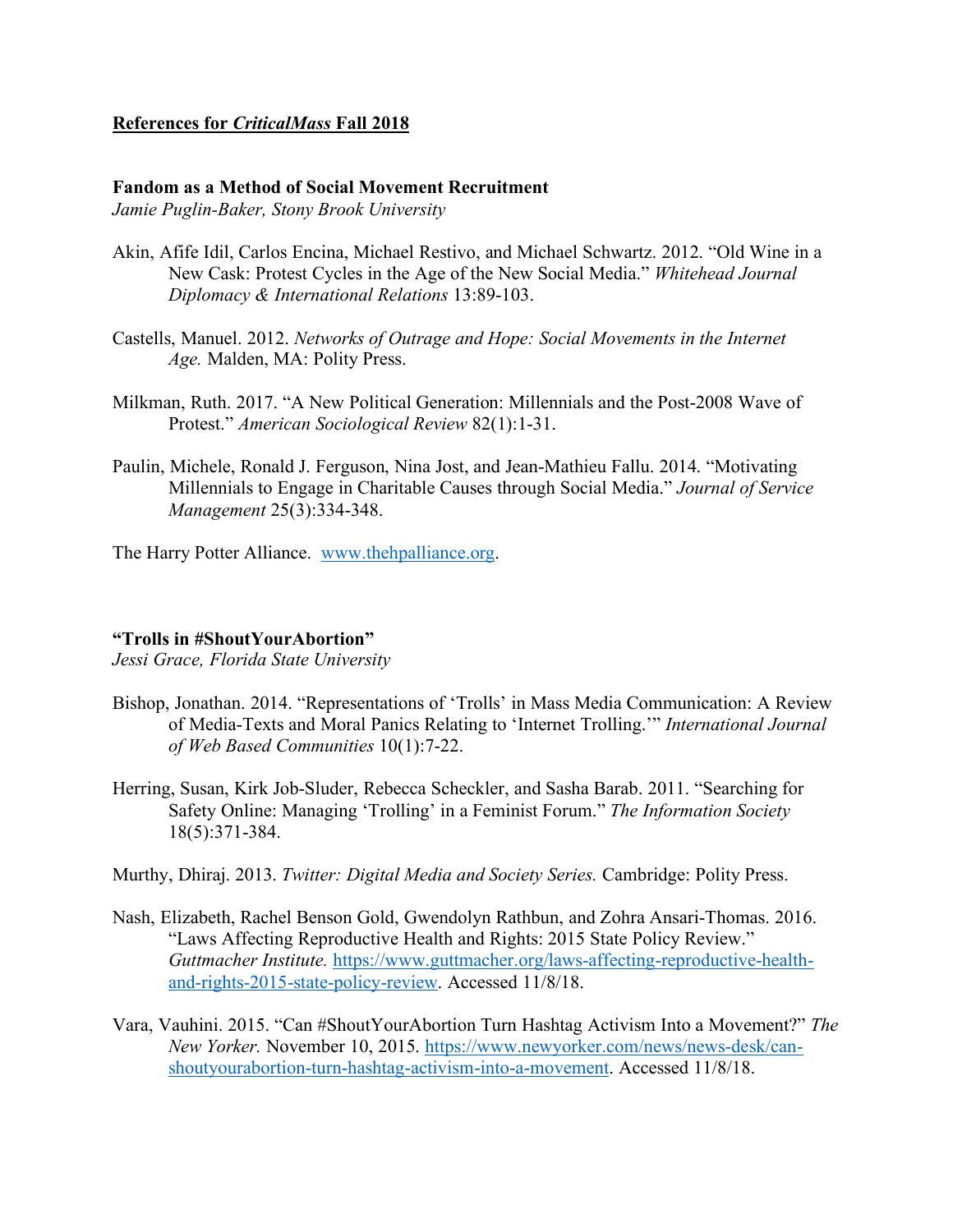## **References for** *CriticalMass* **Fall 2018**

## **Fandom as a Method of Social Movement Recruitment**

*Jamie Puglin-Baker, Stony Brook University*

- Akin, Afife Idil, Carlos Encina, Michael Restivo, and Michael Schwartz. 2012. "Old Wine in a New Cask: Protest Cycles in the Age of the New Social Media." *Whitehead Journal Diplomacy & International Relations* 13:89-103.
- Castells, Manuel. 2012. *Networks of Outrage and Hope: Social Movements in the Internet Age.* Malden, MA: Polity Press.
- Milkman, Ruth. 2017. "A New Political Generation: Millennials and the Post-2008 Wave of Protest." *American Sociological Review* 82(1):1-31.
- Paulin, Michele, Ronald J. Ferguson, Nina Jost, and Jean-Mathieu Fallu. 2014. "Motivating Millennials to Engage in Charitable Causes through Social Media." *Journal of Service Management* 25(3):334-348.

The Harry Potter Alliance. www.thehpalliance.org.

## **"Trolls in #ShoutYourAbortion"**

*Jessi Grace, Florida State University*

- Bishop, Jonathan. 2014. "Representations of 'Trolls' in Mass Media Communication: A Review of Media-Texts and Moral Panics Relating to 'Internet Trolling.'" *International Journal of Web Based Communities* 10(1):7-22.
- Herring, Susan, Kirk Job-Sluder, Rebecca Scheckler, and Sasha Barab. 2011. "Searching for Safety Online: Managing 'Trolling' in a Feminist Forum." *The Information Society* 18(5):371-384.

Murthy, Dhiraj. 2013. *Twitter: Digital Media and Society Series.* Cambridge: Polity Press.

- Nash, Elizabeth, Rachel Benson Gold, Gwendolyn Rathbun, and Zohra Ansari-Thomas. 2016. "Laws Affecting Reproductive Health and Rights: 2015 State Policy Review." *Guttmacher Institute.* https://www.guttmacher.org/laws-affecting-reproductive-healthand-rights-2015-state-policy-review. Accessed 11/8/18.
- Vara, Vauhini. 2015. "Can #ShoutYourAbortion Turn Hashtag Activism Into a Movement?" *The New Yorker.* November 10, 2015. https://www.newyorker.com/news/news-desk/canshoutyourabortion-turn-hashtag-activism-into-a-movement. Accessed 11/8/18.